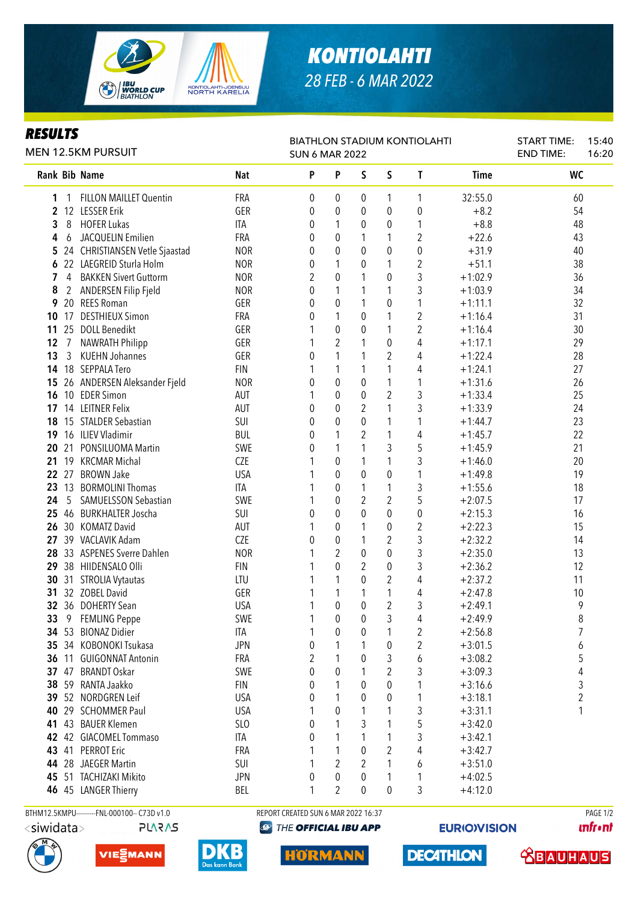

## *KONTIOLAHTI 28 FEB - 6 MAR 2022*

## *RESULTS*

| KEJULIJ<br><b>MEN 12.5KM PURSUIT</b>          | <b>BIATHLON STADIUM KONTIOLAHTI</b><br><b>SUN 6 MAR 2022</b> |              |                  |                  |                |                  | <b>START TIME:</b><br><b>END TIME:</b> | 15:40<br>16:20 |  |
|-----------------------------------------------|--------------------------------------------------------------|--------------|------------------|------------------|----------------|------------------|----------------------------------------|----------------|--|
| Rank Bib Name                                 | <b>Nat</b>                                                   | P            | P                | S                | S              | T                | <b>Time</b>                            | <b>WC</b>      |  |
| <b>FILLON MAILLET Quentin</b><br>1<br>1       | FRA                                                          | 0            | 0                | 0                | 1              | 1                | 32:55.0                                | 60             |  |
| 12<br><b>LESSER Erik</b><br>$\mathbf{2}$      | GER                                                          | 0            | $\boldsymbol{0}$ | 0                | 0              | $\boldsymbol{0}$ | $+8.2$                                 | 54             |  |
| 3<br><b>HOFER Lukas</b><br>8                  | ITA                                                          | 0            | 1                | 0                | 0              | 1                | $+8.8$                                 | 48             |  |
| JACQUELIN Emilien<br>4<br>6                   | FRA                                                          | 0            | $\theta$         | 1                | 1              | $\overline{2}$   | $+22.6$                                | 43             |  |
| 24 CHRISTIANSEN Vetle Sjaastad<br>5           | <b>NOR</b>                                                   | 0            | $\mathbf{0}$     | 0                | $\pmb{0}$      | $\boldsymbol{0}$ | $+31.9$                                | 40             |  |
| 6 22 LAEGREID Sturla Holm                     | <b>NOR</b>                                                   | 0            | 1                | 0                | 1              | $\overline{2}$   | $+51.1$                                | 38             |  |
| 7<br><b>BAKKEN Sivert Guttorm</b><br>4        | <b>NOR</b>                                                   | 2            | $\mathbf 0$      | 1                | 0              | 3                | $+1:02.9$                              | 36             |  |
| ANDERSEN Filip Fjeld<br>8<br>$\overline{2}$   | <b>NOR</b>                                                   | 0            | 1                | 1                | 1              | 3                | $+1:03.9$                              | 34             |  |
| 20 REES Roman<br>9                            | GER                                                          | 0            | 0                | 1                | 0              | 1                | $+1:11.1$                              | 32             |  |
| <b>DESTHIEUX Simon</b><br>17<br>10            | FRA                                                          | 0            | 1                | 0                | 1              | $\overline{2}$   | $+1:16.4$                              | 31             |  |
| <b>DOLL Benedikt</b><br>11<br>25              | GER                                                          |              | 0                | 0                | 1              | 2                | $+1:16.4$                              | 30             |  |
| <b>NAWRATH Philipp</b><br>12<br>7             | GER                                                          | 1            | 2                |                  | 0              | 4                | $+1:17.1$                              | 29             |  |
| <b>KUEHN Johannes</b><br>13<br>$\mathfrak{Z}$ | GER                                                          | 0            | 1                | 1                | $\overline{2}$ | 4                | $+1:22.4$                              | 28             |  |
| 18 SEPPALA Tero<br>14                         | <b>FIN</b>                                                   | 1            | 1                | 1                | 1              | 4                | $+1:24.1$                              | 27             |  |
| 26 ANDERSEN Aleksander Fjeld<br>15            | <b>NOR</b>                                                   | 0            | $\mathbf{0}$     | 0                | $\mathbf{1}$   | 1                | $+1:31.6$                              | 26             |  |
| 10 EDER Simon<br>16                           | AUT                                                          | 1            | $\boldsymbol{0}$ | $\pmb{0}$        | $\overline{2}$ | 3                | $+1:33.4$                              | 25             |  |
| 14 LEITNER Felix<br>17                        | AUT                                                          | 0            | $\pmb{0}$        | 2                | 1              | 3                | $+1:33.9$                              | 24             |  |
| 15 STALDER Sebastian<br>18                    | SUI                                                          | 0            | $\pmb{0}$        | $\mathbf 0$      | 1              | 1                | $+1:44.7$                              | 23             |  |
| 16 ILIEV Vladimir<br>19                       | <b>BUL</b>                                                   | 0            | 1                | 2                | 1              | 4                | $+1:45.7$                              | 22             |  |
| 21<br>PONSILUOMA Martin<br>20                 | SWE                                                          | 0            | 1                | 1                | 3              | 5                | $+1:45.9$                              | 21             |  |
| 19<br><b>KRCMAR Michal</b><br>21              | <b>CZE</b>                                                   |              | $\boldsymbol{0}$ | 1                | 1              | 3                | $+1:46.0$                              | 20             |  |
| 27<br><b>BROWN Jake</b><br>22                 | <b>USA</b>                                                   |              | $\mathbf 0$      | $\boldsymbol{0}$ | 0              | 1                | $+1:49.8$                              | 19             |  |
| <b>BORMOLINI Thomas</b><br>23<br>13           | <b>ITA</b>                                                   |              | 0                | 1                | 1              | 3                | $+1:55.6$                              | 18             |  |
| 5<br>SAMUELSSON Sebastian<br>24               | SWE                                                          | 1            | 0                | $\boldsymbol{2}$ | $\overline{2}$ | 5                | $+2:07.5$                              | 17             |  |
| 46 BURKHALTER Joscha<br>25 <sub>2</sub>       | SUI                                                          | 0            | $\theta$         | 0                | 0              | $\boldsymbol{0}$ | $+2:15.3$                              | 16             |  |
| 30 KOMATZ David<br>26                         | AUT                                                          | 1            | $\theta$         | 1                | 0              | $\sqrt{2}$       | $+2:22.3$                              | 15             |  |
| 39 VACLAVIK Adam<br>27                        | <b>CZE</b>                                                   | $\mathbf{0}$ | $\mathbf 0$      | 1                | 2              | 3                | $+2:32.2$                              | 14             |  |
| 33 ASPENES Sverre Dahlen<br>28                | <b>NOR</b>                                                   | 1            | 2                | $\mathbf 0$      | $\pmb{0}$      | 3                | $+2:35.0$                              | 13             |  |
| 29<br>38 HIIDENSALO Olli                      | <b>FIN</b>                                                   | 1            | $\mathbf{0}$     | 2                | 0              | 3                | $+2:36.2$                              | 12             |  |
| 30<br><b>STROLIA Vytautas</b><br>31           | LTU                                                          |              | 1                | $\theta$         | 2              | 4                | $+2:37.2$                              | 11             |  |
| 32 ZOBEL David<br>31                          | GER                                                          |              | 1                |                  | 1              | 4                | $+2:47.8$                              | 10             |  |
| 32 36 DOHERTY Sean                            | <b>USA</b>                                                   | 1            | $\mathbf{0}$     | 0                | $\overline{2}$ | 3                | $+2:49.1$                              | 9              |  |
| 9 FEMLING Peppe<br>33                         | SWE                                                          | 1            | 0                | 0                | 3              | 4                | $+2:49.9$                              | 8              |  |
| 34 53 BIONAZ Didier                           | <b>ITA</b>                                                   | 1            | 0                | 0                | 1              | 2                | $+2:56.8$                              | 7              |  |
| 35 34 KOBONOKI Tsukasa                        | <b>JPN</b>                                                   | 0            | 1                |                  | 0              | 2                | $+3:01.5$                              | 6              |  |
| 36 11 GUIGONNAT Antonin                       | FRA                                                          | 2            |                  | 0                | 3              | 6                | $+3:08.2$                              | 5              |  |
| 37 47 BRANDT Oskar                            | SWE                                                          | 0            | 0                |                  | 2              | 3                | $+3:09.3$                              | 4              |  |
| 38 59 RANTA Jaakko                            | <b>FIN</b>                                                   | 0            |                  | 0                | $\pmb{0}$      | 1                | $+3:16.6$                              | 3              |  |
| 39 52 NORDGREN Leif                           | <b>USA</b>                                                   | 0            | 1                | 0                | 0              | 1                | $+3:18.1$                              | 2              |  |
| 40 29 SCHOMMER Paul                           | <b>USA</b>                                                   | 1            | 0                |                  | 1              | 3                | $+3:31.1$                              | 1              |  |
| 41 43 BAUER Klemen                            | SLO                                                          | 0            |                  | 3                | 1              | 5                | $+3:42.0$                              |                |  |
| 42 42 GIACOMEL Tommaso                        | ITA                                                          | 0            |                  |                  | 1              | 3                | $+3:42.1$                              |                |  |
| 43 41 PERROT Eric                             | FRA                                                          |              | 1                | 0                | 2              | 4                | $+3:42.7$                              |                |  |
| 44 28 JAEGER Martin                           | SUI                                                          | 1            | 2                | 2                | 1              | 6                | $+3:51.0$                              |                |  |
| 45 51 TACHIZAKI Mikito                        | <b>JPN</b>                                                   | 0            | 0                | 0                | 1              | 1                | $+4:02.5$                              |                |  |
| 46 45 LANGER Thierry                          | BEL                                                          | 1            | 2                | 0                | 0              | 3                | $+4:12.0$                              |                |  |
|                                               |                                                              |              |                  |                  |                |                  |                                        |                |  |

<siwidata>





BTHM12.5KMPU---------FNL-000100-- C73D v1.0 REPORT CREATED SUN 6 MAR 2022 16:37 RAGE 1/2

**HORMANN** 

**@ THE OFFICIAL IBU APP** 

**DECATHLON** 

**EURIO)VISION** 

**unfront**